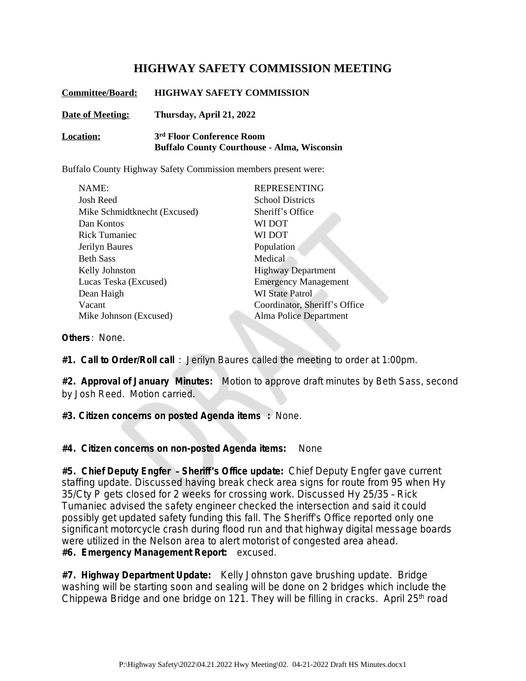## **HIGHWAY SAFETY COMMISSION MEETING**

| <b>Committee/Board:</b> | <b>HIGHWAY SAFETY COMMISSION</b>                                                            |
|-------------------------|---------------------------------------------------------------------------------------------|
| <b>Date of Meeting:</b> | Thursday, April 21, 2022                                                                    |
| <b>Location:</b>        | 3 <sup>rd</sup> Floor Conference Room<br><b>Buffalo County Courthouse - Alma, Wisconsin</b> |

Buffalo County Highway Safety Commission members present were:

| NAME:                        | <b>REPRESENTING</b>           |
|------------------------------|-------------------------------|
| Josh Reed                    | <b>School Districts</b>       |
| Mike Schmidtknecht (Excused) | Sheriff's Office              |
| Dan Kontos                   | WI DOT                        |
| Rick Tumaniec                | WI DOT                        |
| Jerilyn Baures               | Population                    |
| <b>Beth Sass</b>             | Medical                       |
| Kelly Johnston               | <b>Highway Department</b>     |
| Lucas Teska (Excused)        | <b>Emergency Management</b>   |
| Dean Haigh                   | <b>WI State Patrol</b>        |
| Vacant                       | Coordinator, Sheriff's Office |
| Mike Johnson (Excused)       | Alma Police Department        |

**Others**: None.

**#1. Call to Order/Roll call** : Jerilyn Baures called the meeting to order at 1:00pm.

**#2. Approval of January Minutes:** Motion to approve draft minutes by Beth Sass, second by Josh Reed. Motion carried.

**#3. Citizen concerns on posted Agenda items :** None.

**#4. Citizen concerns on non-posted Agenda items:** None

**#5. Chief Deputy Engfer** – **Sheriff**'**s Office update:** Chief Deputy Engfer gave current staffing update. Discussed having break check area signs for route from 95 when Hy 35/Cty P gets closed for 2 weeks for crossing work. Discussed Hy 25/35 – Rick Tumaniec advised the safety engineer checked the intersection and said it could possibly get updated safety funding this fall. The Sheriff's Office reported only one significant motorcycle crash during flood run and that highway digital message boards were utilized in the Nelson area to alert motorist of congested area ahead. **#6. Emergency Management Report:** excused.

**#7. Highway Department Update:** Kelly Johnston gave brushing update. Bridge washing will be starting soon and sealing will be done on 2 bridges which include the Chippewa Bridge and one bridge on 121. They will be filling in cracks. April 25<sup>th</sup> road